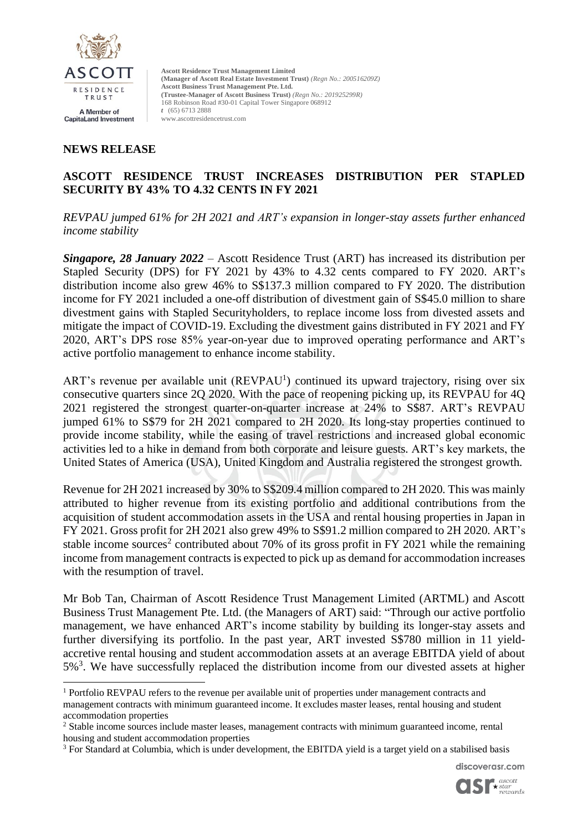

#### **NEWS RELEASE**

## **ASCOTT RESIDENCE TRUST INCREASES DISTRIBUTION PER STAPLED SECURITY BY 43% TO 4.32 CENTS IN FY 2021**

*REVPAU jumped 61% for 2H 2021 and ART's expansion in longer-stay assets further enhanced income stability*

*Singapore, 28 January 2022* – Ascott Residence Trust (ART) has increased its distribution per Stapled Security (DPS) for FY 2021 by 43% to 4.32 cents compared to FY 2020. ART's distribution income also grew 46% to S\$137.3 million compared to FY 2020. The distribution income for FY 2021 included a one-off distribution of divestment gain of S\$45.0 million to share divestment gains with Stapled Securityholders, to replace income loss from divested assets and mitigate the impact of COVID-19. Excluding the divestment gains distributed in FY 2021 and FY 2020, ART's DPS rose 85% year-on-year due to improved operating performance and ART's active portfolio management to enhance income stability.

ART's revenue per available unit  $(REVPAU<sup>1</sup>)$  continued its upward trajectory, rising over six consecutive quarters since 2Q 2020. With the pace of reopening picking up, its REVPAU for 4Q 2021 registered the strongest quarter-on-quarter increase at 24% to S\$87. ART's REVPAU jumped 61% to S\$79 for 2H 2021 compared to 2H 2020. Its long-stay properties continued to provide income stability, while the easing of travel restrictions and increased global economic activities led to a hike in demand from both corporate and leisure guests. ART's key markets, the United States of America (USA), United Kingdom and Australia registered the strongest growth.

Revenue for 2H 2021 increased by 30% to S\$209.4 million compared to 2H 2020. This was mainly attributed to higher revenue from its existing portfolio and additional contributions from the acquisition of student accommodation assets in the USA and rental housing properties in Japan in FY 2021. Gross profit for 2H 2021 also grew 49% to S\$91.2 million compared to 2H 2020. ART's stable income sources<sup>2</sup> contributed about 70% of its gross profit in FY 2021 while the remaining income from management contracts is expected to pick up as demand for accommodation increases with the resumption of travel.

Mr Bob Tan, Chairman of Ascott Residence Trust Management Limited (ARTML) and Ascott Business Trust Management Pte. Ltd. (the Managers of ART) said: "Through our active portfolio management, we have enhanced ART's income stability by building its longer-stay assets and further diversifying its portfolio. In the past year, ART invested S\$780 million in 11 yieldaccretive rental housing and student accommodation assets at an average EBITDA yield of about  $5\%$ <sup>3</sup>. We have successfully replaced the distribution income from our divested assets at higher

discoverasr.com



<sup>&</sup>lt;sup>1</sup> Portfolio REVPAU refers to the revenue per available unit of properties under management contracts and management contracts with minimum guaranteed income. It excludes master leases, rental housing and student accommodation properties

<sup>&</sup>lt;sup>2</sup> Stable income sources include master leases, management contracts with minimum guaranteed income, rental housing and student accommodation properties

<sup>&</sup>lt;sup>3</sup> For Standard at Columbia, which is under development, the EBITDA yield is a target yield on a stabilised basis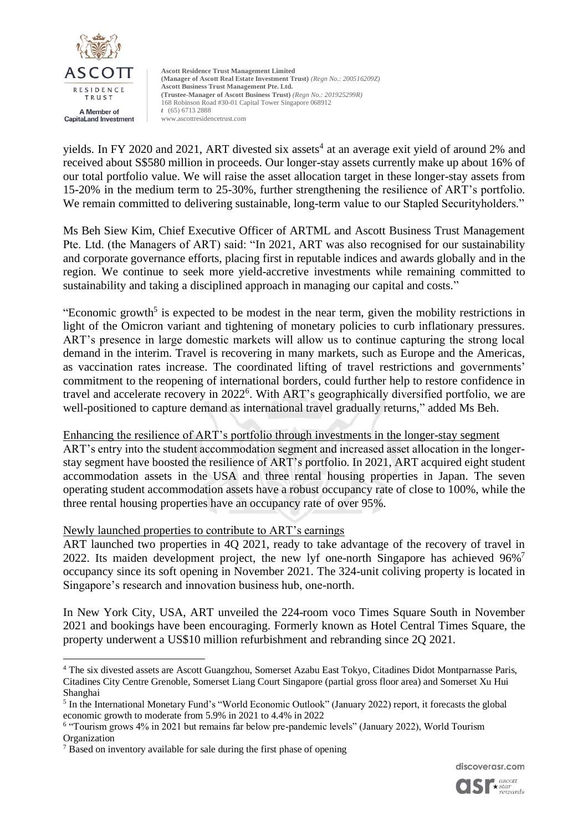

yields. In FY 2020 and 2021, ART divested six assets<sup>4</sup> at an average exit yield of around 2% and received about S\$580 million in proceeds. Our longer-stay assets currently make up about 16% of our total portfolio value. We will raise the asset allocation target in these longer-stay assets from 15-20% in the medium term to 25-30%, further strengthening the resilience of ART's portfolio. We remain committed to delivering sustainable, long-term value to our Stapled Securityholders."

Ms Beh Siew Kim, Chief Executive Officer of ARTML and Ascott Business Trust Management Pte. Ltd. (the Managers of ART) said: "In 2021, ART was also recognised for our sustainability and corporate governance efforts, placing first in reputable indices and awards globally and in the region. We continue to seek more yield-accretive investments while remaining committed to sustainability and taking a disciplined approach in managing our capital and costs."

"Economic growth<sup>5</sup> is expected to be modest in the near term, given the mobility restrictions in light of the Omicron variant and tightening of monetary policies to curb inflationary pressures. ART's presence in large domestic markets will allow us to continue capturing the strong local demand in the interim. Travel is recovering in many markets, such as Europe and the Americas, as vaccination rates increase. The coordinated lifting of travel restrictions and governments' commitment to the reopening of international borders, could further help to restore confidence in travel and accelerate recovery in 2022<sup>6</sup>. With ART's geographically diversified portfolio, we are well-positioned to capture demand as international travel gradually returns," added Ms Beh.

## Enhancing the resilience of ART's portfolio through investments in the longer-stay segment

ART's entry into the student accommodation segment and increased asset allocation in the longerstay segment have boosted the resilience of ART's portfolio. In 2021, ART acquired eight student accommodation assets in the USA and three rental housing properties in Japan. The seven operating student accommodation assets have a robust occupancy rate of close to 100%, while the three rental housing properties have an occupancy rate of over 95%.

## Newly launched properties to contribute to ART's earnings

ART launched two properties in 4Q 2021, ready to take advantage of the recovery of travel in 2022. Its maiden development project, the new lyf one-north Singapore has achieved  $96\%$ <sup>7</sup> occupancy since its soft opening in November 2021. The 324-unit coliving property is located in Singapore's research and innovation business hub, one-north.

In New York City, USA, ART unveiled the 224-room voco Times Square South in November 2021 and bookings have been encouraging. Formerly known as Hotel Central Times Square, the property underwent a US\$10 million refurbishment and rebranding since 2Q 2021.



<sup>4</sup> The six divested assets are Ascott Guangzhou, Somerset Azabu East Tokyo, Citadines Didot Montparnasse Paris, Citadines City Centre Grenoble, Somerset Liang Court Singapore (partial gross floor area) and Somerset Xu Hui Shanghai

<sup>&</sup>lt;sup>5</sup> In the International Monetary Fund's "World Economic Outlook" (January 2022) report, it forecasts the global economic growth to moderate from 5.9% in 2021 to 4.4% in 2022

<sup>&</sup>lt;sup>6</sup> "Tourism grows 4% in 2021 but remains far below pre-pandemic levels" (January 2022), World Tourism Organization

<sup>&</sup>lt;sup>7</sup> Based on inventory available for sale during the first phase of opening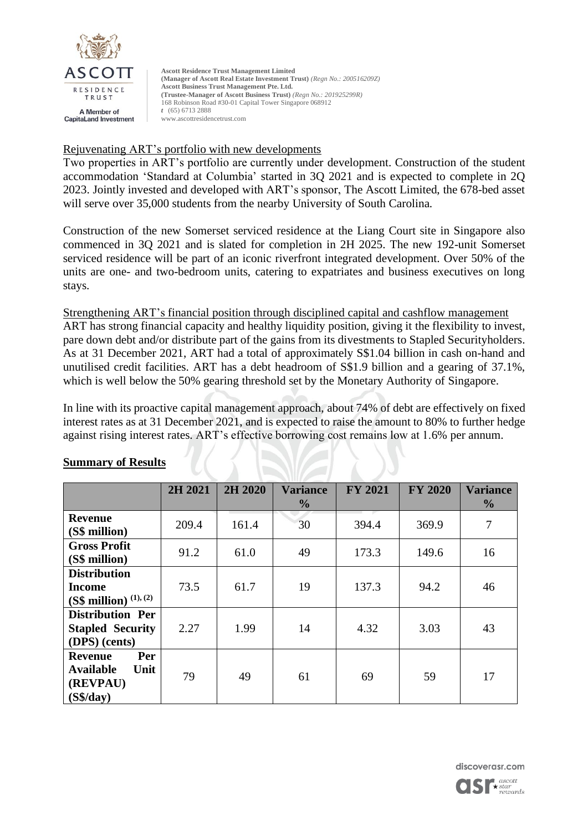

## Rejuvenating ART's portfolio with new developments

Two properties in ART's portfolio are currently under development. Construction of the student accommodation 'Standard at Columbia' started in 3Q 2021 and is expected to complete in 2Q 2023. Jointly invested and developed with ART's sponsor, The Ascott Limited, the 678-bed asset will serve over 35,000 students from the nearby University of South Carolina.

Construction of the new Somerset serviced residence at the Liang Court site in Singapore also commenced in 3Q 2021 and is slated for completion in 2H 2025. The new 192-unit Somerset serviced residence will be part of an iconic riverfront integrated development. Over 50% of the units are one- and two-bedroom units, catering to expatriates and business executives on long stays.

Strengthening ART's financial position through disciplined capital and cashflow management ART has strong financial capacity and healthy liquidity position, giving it the flexibility to invest, pare down debt and/or distribute part of the gains from its divestments to Stapled Securityholders. As at 31 December 2021, ART had a total of approximately S\$1.04 billion in cash on-hand and unutilised credit facilities. ART has a debt headroom of S\$1.9 billion and a gearing of 37.1%, which is well below the 50% gearing threshold set by the Monetary Authority of Singapore.

In line with its proactive capital management approach, about 74% of debt are effectively on fixed interest rates as at 31 December 2021, and is expected to raise the amount to 80% to further hedge against rising interest rates. ART's effective borrowing cost remains low at 1.6% per annum.

|                          | 2H 2021 | 2H 2020 | <b>Variance</b> | <b>FY 2021</b> | <b>FY 2020</b> | <b>Variance</b> |
|--------------------------|---------|---------|-----------------|----------------|----------------|-----------------|
|                          |         |         | $\frac{0}{0}$   |                |                | $\frac{0}{0}$   |
| <b>Revenue</b>           | 209.4   | 161.4   | 30              | 394.4          | 369.9          | $\tau$          |
| (S\$ million)            |         |         |                 |                |                |                 |
| <b>Gross Profit</b>      | 91.2    | 61.0    | 49              | 173.3          | 149.6          | 16              |
| (S\$ million)            |         |         |                 |                |                |                 |
| <b>Distribution</b>      |         |         |                 |                |                |                 |
| Income                   | 73.5    | 61.7    | 19              | 137.3          | 94.2           | 46              |
| (S\$ million) $(1), (2)$ |         |         |                 |                |                |                 |
| <b>Distribution Per</b>  |         |         |                 |                |                |                 |
| <b>Stapled Security</b>  | 2.27    | 1.99    | 14              | 4.32           | 3.03           | 43              |
| (DPS) (cents)            |         |         |                 |                |                |                 |
| Per<br><b>Revenue</b>    |         |         |                 |                |                |                 |
| <b>Available</b><br>Unit | 79      | 49      | 61              | 69             | 59             | 17              |
| (REVPAU)                 |         |         |                 |                |                |                 |
| (S <sup>4</sup> /day)    |         |         |                 |                |                |                 |

## **Summary of Results**

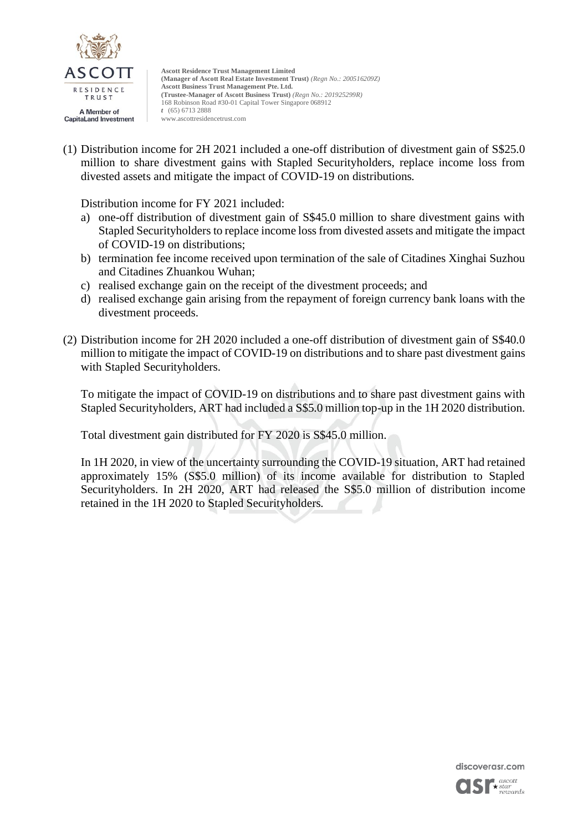

(1) Distribution income for 2H 2021 included a one-off distribution of divestment gain of S\$25.0 million to share divestment gains with Stapled Securityholders, replace income loss from divested assets and mitigate the impact of COVID-19 on distributions.

Distribution income for FY 2021 included:

- a) one-off distribution of divestment gain of S\$45.0 million to share divestment gains with Stapled Securityholders to replace income loss from divested assets and mitigate the impact of COVID-19 on distributions;
- b) termination fee income received upon termination of the sale of Citadines Xinghai Suzhou and Citadines Zhuankou Wuhan;
- c) realised exchange gain on the receipt of the divestment proceeds; and
- d) realised exchange gain arising from the repayment of foreign currency bank loans with the divestment proceeds.
- (2) Distribution income for 2H 2020 included a one-off distribution of divestment gain of S\$40.0 million to mitigate the impact of COVID-19 on distributions and to share past divestment gains with Stapled Securityholders.

To mitigate the impact of COVID-19 on distributions and to share past divestment gains with Stapled Securityholders, ART had included a S\$5.0 million top-up in the 1H 2020 distribution.

Total divestment gain distributed for FY 2020 is S\$45.0 million.

In 1H 2020, in view of the uncertainty surrounding the COVID-19 situation, ART had retained approximately 15% (S\$5.0 million) of its income available for distribution to Stapled Securityholders. In 2H 2020, ART had released the S\$5.0 million of distribution income retained in the 1H 2020 to Stapled Securityholders.

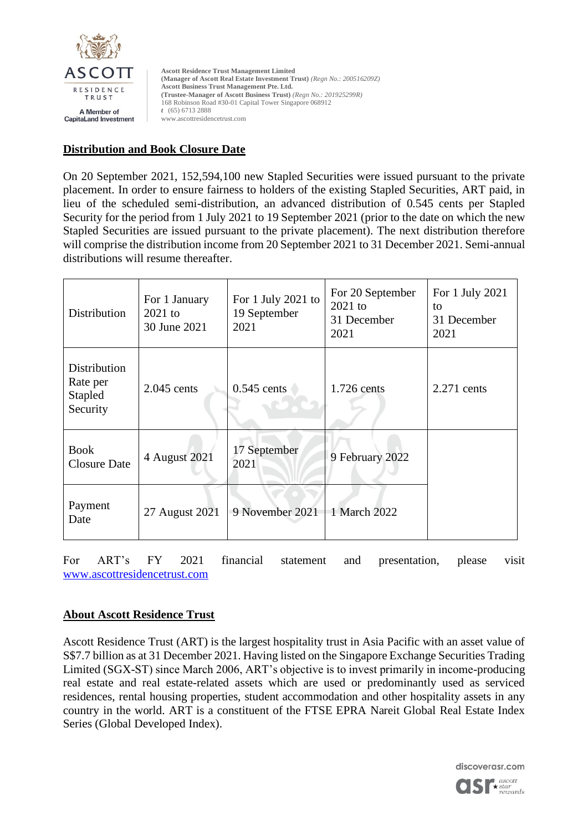

# **Distribution and Book Closure Date**

On 20 September 2021, 152,594,100 new Stapled Securities were issued pursuant to the private placement. In order to ensure fairness to holders of the existing Stapled Securities, ART paid, in lieu of the scheduled semi-distribution, an advanced distribution of 0.545 cents per Stapled Security for the period from 1 July 2021 to 19 September 2021 (prior to the date on which the new Stapled Securities are issued pursuant to the private placement). The next distribution therefore will comprise the distribution income from 20 September 2021 to 31 December 2021. Semi-annual distributions will resume thereafter.

| Distribution                                    | For 1 January<br>$2021$ to<br>30 June 2021 | For 1 July 2021 to<br>19 September<br>2021 | For 20 September<br>$2021$ to<br>31 December<br>2021 | For 1 July 2021<br>to<br>31 December<br>2021 |
|-------------------------------------------------|--------------------------------------------|--------------------------------------------|------------------------------------------------------|----------------------------------------------|
| Distribution<br>Rate per<br>Stapled<br>Security | $2.045$ cents                              | $0.545$ cents                              | 1.726 cents                                          | $2.271$ cents                                |
| <b>Book</b><br><b>Closure Date</b>              | 4 August 2021                              | 17 September<br>2021                       | 9 February 2022                                      |                                              |
| Payment<br>Date                                 | 27 August 2021                             | 9 November 2021                            | 1 March 2022                                         |                                              |

For ART's FY 2021 financial statement and presentation, please visit [www.ascottresidencetrust.com](http://www.ascottresidencetrust.com/)

## **About Ascott Residence Trust**

Ascott Residence Trust (ART) is the largest hospitality trust in Asia Pacific with an asset value of S\$7.7 billion as at 31 December 2021. Having listed on the Singapore Exchange Securities Trading Limited (SGX-ST) since March 2006, ART's objective is to invest primarily in income-producing real estate and real estate-related assets which are used or predominantly used as serviced residences, rental housing properties, student accommodation and other hospitality assets in any country in the world. ART is a constituent of the FTSE EPRA Nareit Global Real Estate Index Series (Global Developed Index).

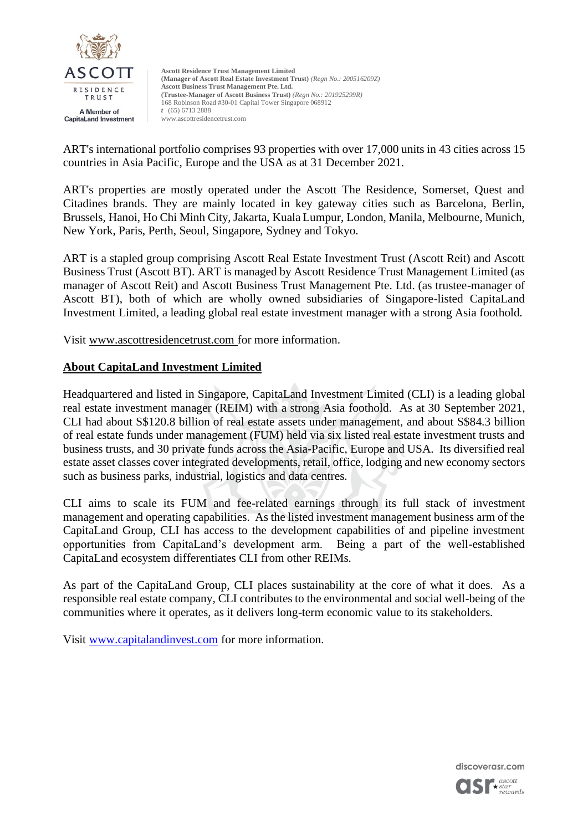

ART's international portfolio comprises 93 properties with over 17,000 units in 43 cities across 15 countries in Asia Pacific, Europe and the USA as at 31 December 2021.

ART's properties are mostly operated under the Ascott The Residence, Somerset, Quest and Citadines brands. They are mainly located in key gateway cities such as Barcelona, Berlin, Brussels, Hanoi, Ho Chi Minh City, Jakarta, Kuala Lumpur, London, Manila, Melbourne, Munich, New York, Paris, Perth, Seoul, Singapore, Sydney and Tokyo.

ART is a stapled group comprising Ascott Real Estate Investment Trust (Ascott Reit) and Ascott Business Trust (Ascott BT). ART is managed by Ascott Residence Trust Management Limited (as manager of Ascott Reit) and Ascott Business Trust Management Pte. Ltd. (as trustee-manager of Ascott BT), both of which are wholly owned subsidiaries of Singapore-listed CapitaLand Investment Limited, a leading global real estate investment manager with a strong Asia foothold.

Visit [www.ascottresidencetrust.com](http://www.ascottresidencetrust.com/) for more information.

## **About CapitaLand Investment Limited**

Headquartered and listed in Singapore, CapitaLand Investment Limited (CLI) is a leading global real estate investment manager (REIM) with a strong Asia foothold. As at 30 September 2021, CLI had about S\$120.8 billion of real estate assets under management, and about S\$84.3 billion of real estate funds under management (FUM) held via six listed real estate investment trusts and business trusts, and 30 private funds across the Asia-Pacific, Europe and USA. Its diversified real estate asset classes cover integrated developments, retail, office, lodging and new economy sectors such as business parks, industrial, logistics and data centres.

CLI aims to scale its FUM and fee-related earnings through its full stack of investment management and operating capabilities. As the listed investment management business arm of the CapitaLand Group, CLI has access to the development capabilities of and pipeline investment opportunities from CapitaLand's development arm. Being a part of the well-established CapitaLand ecosystem differentiates CLI from other REIMs.

As part of the CapitaLand Group, CLI places sustainability at the core of what it does. As a responsible real estate company, CLI contributes to the environmental and social well-being of the communities where it operates, as it delivers long-term economic value to its stakeholders.

Visit [www.capitalandinvest.com](http://www.capitalandinvest.com/) for more information.

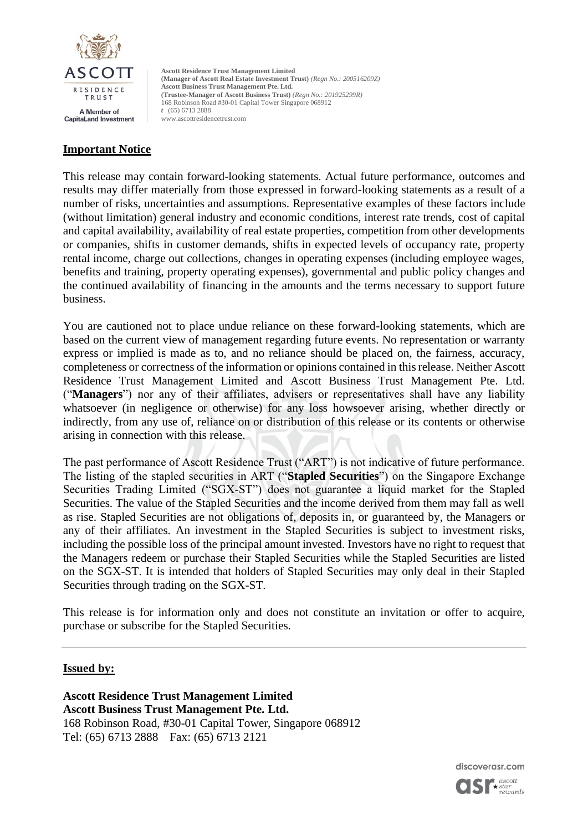

# **Important Notice**

This release may contain forward-looking statements. Actual future performance, outcomes and results may differ materially from those expressed in forward-looking statements as a result of a number of risks, uncertainties and assumptions. Representative examples of these factors include (without limitation) general industry and economic conditions, interest rate trends, cost of capital and capital availability, availability of real estate properties, competition from other developments or companies, shifts in customer demands, shifts in expected levels of occupancy rate, property rental income, charge out collections, changes in operating expenses (including employee wages, benefits and training, property operating expenses), governmental and public policy changes and the continued availability of financing in the amounts and the terms necessary to support future business.

You are cautioned not to place undue reliance on these forward-looking statements, which are based on the current view of management regarding future events. No representation or warranty express or implied is made as to, and no reliance should be placed on, the fairness, accuracy, completeness or correctness of the information or opinions contained in this release. Neither Ascott Residence Trust Management Limited and Ascott Business Trust Management Pte. Ltd. ("**Managers**") nor any of their affiliates, advisers or representatives shall have any liability whatsoever (in negligence or otherwise) for any loss howsoever arising, whether directly or indirectly, from any use of, reliance on or distribution of this release or its contents or otherwise arising in connection with this release.

The past performance of Ascott Residence Trust ("ART") is not indicative of future performance. The listing of the stapled securities in ART ("**Stapled Securities**") on the Singapore Exchange Securities Trading Limited ("SGX-ST") does not guarantee a liquid market for the Stapled Securities. The value of the Stapled Securities and the income derived from them may fall as well as rise. Stapled Securities are not obligations of, deposits in, or guaranteed by, the Managers or any of their affiliates. An investment in the Stapled Securities is subject to investment risks, including the possible loss of the principal amount invested. Investors have no right to request that the Managers redeem or purchase their Stapled Securities while the Stapled Securities are listed on the SGX-ST. It is intended that holders of Stapled Securities may only deal in their Stapled Securities through trading on the SGX-ST.

This release is for information only and does not constitute an invitation or offer to acquire, purchase or subscribe for the Stapled Securities.

#### **Issued by:**

**Ascott Residence Trust Management Limited Ascott Business Trust Management Pte. Ltd.**  168 Robinson Road, #30-01 Capital Tower, Singapore 068912 Tel: (65) 6713 2888 Fax: (65) 6713 2121